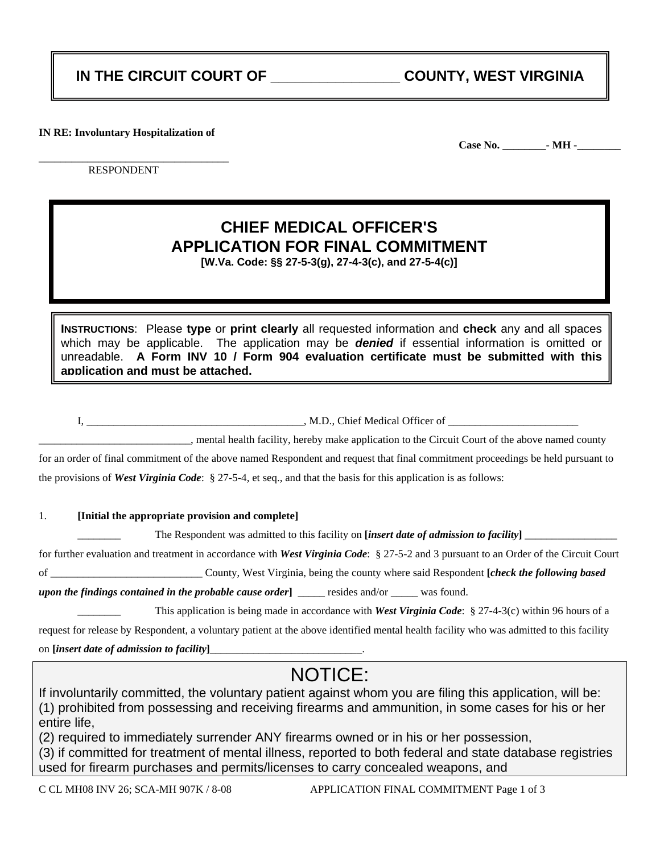### **IN THE CIRCUIT COURT OF \_\_\_\_\_\_\_\_\_\_\_\_\_\_\_\_ COUNTY, WEST VIRGINIA**

**IN RE: Involuntary Hospitalization of** 

**Case No. \_\_\_\_\_\_\_\_- MH -\_\_\_\_\_\_\_\_**

\_\_\_\_\_\_\_\_\_\_\_\_\_\_\_\_\_\_\_\_\_\_\_\_\_\_\_\_\_\_\_\_\_\_\_ RESPONDENT

## **CHIEF MEDICAL OFFICER'S APPLICATION FOR FINAL COMMITMENT**

**[W.Va. Code: §§ 27-5-3(g), 27-4-3(c), and 27-5-4(c)]** 

**INSTRUCTIONS**: Please **type** or **print clearly** all requested information and **check** any and all spaces which may be applicable. The application may be *denied* if essential information is omitted or unreadable. **A Form INV 10 / Form 904 evaluation certificate must be submitted with this application and must be attached.**

I, \_\_\_\_\_\_\_\_\_\_\_\_\_\_\_\_\_\_\_\_\_\_\_\_\_\_\_\_\_\_\_\_\_\_\_\_\_\_\_\_, M.D., Chief Medical Officer of \_\_\_\_\_\_\_\_\_\_\_\_\_\_\_\_\_\_\_\_\_\_\_\_

\_\_\_\_\_\_\_\_\_\_\_\_\_\_\_\_\_\_\_\_\_\_\_\_\_\_\_\_, mental health facility, hereby make application to the Circuit Court of the above named county

for an order of final commitment of the above named Respondent and request that final commitment proceedings be held pursuant to the provisions of *West Virginia Code*: § 27-5-4, et seq., and that the basis for this application is as follows:

#### 1. **[Initial the appropriate provision and complete]**

The Respondent was admitted to this facility on *[insert date of admission to facility*]

for further evaluation and treatment in accordance with *West Virginia Code*: § 27-5-2 and 3 pursuant to an Order of the Circuit Court

of \_\_\_\_\_\_\_\_\_\_\_\_\_\_\_\_\_\_\_\_\_\_\_\_\_\_\_\_ County, West Virginia, being the county where said Respondent **[***check the following based* 

*upon the findings contained in the probable cause order* **1** \_\_\_\_\_ resides and/or \_\_\_\_\_ was found.

\_\_\_\_\_\_\_\_ This application is being made in accordance with *West Virginia Code*: § 27-4-3(c) within 96 hours of a

request for release by Respondent, a voluntary patient at the above identified mental health facility who was admitted to this facility

on **[***insert date of admission to facility***]**\_\_\_\_\_\_\_\_\_\_\_\_\_\_\_\_\_\_\_\_\_\_\_\_\_\_\_\_.

# NOTICE:

If involuntarily committed, the voluntary patient against whom you are filing this application, will be: (1) prohibited from possessing and receiving firearms and ammunition, in some cases for his or her entire life,

(2) required to immediately surrender ANY firearms owned or in his or her possession,

(3) if committed for treatment of mental illness, reported to both federal and state database registries used for firearm purchases and permits/licenses to carry concealed weapons, and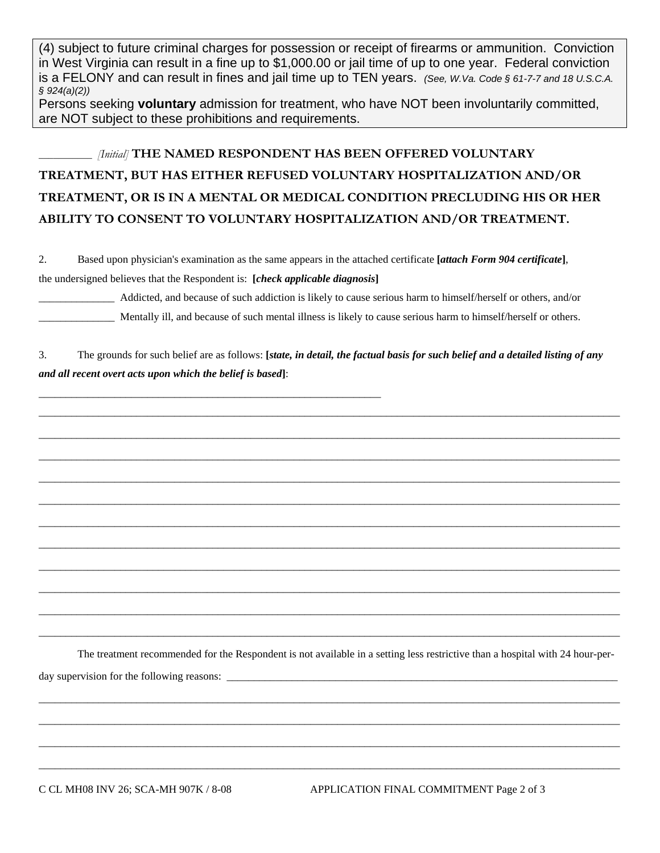(4) subject to future criminal charges for possession or receipt of firearms or ammunition. Conviction in West Virginia can result in a fine up to \$1,000.00 or jail time of up to one year. Federal conviction is a FELONY and can result in fines and jail time up to TEN years. *(See, W.Va. Code § 61-7-7 and 18 U.S.C.A. § 924(a)(2))*

Persons seeking **voluntary** admission for treatment, who have NOT been involuntarily committed, are NOT subject to these prohibitions and requirements.

\_\_\_\_\_\_\_\_\_\_\_ *[Initial]* **THE NAMED RESPONDENT HAS BEEN OFFERED VOLUNTARY TREATMENT, BUT HAS EITHER REFUSED VOLUNTARY HOSPITALIZATION AND/OR TREATMENT, OR IS IN A MENTAL OR MEDICAL CONDITION PRECLUDING HIS OR HER ABILITY TO CONSENT TO VOLUNTARY HOSPITALIZATION AND/OR TREATMENT.** 

2. Based upon physician's examination as the same appears in the attached certificate **[***attach Form 904 certificate***]**, the undersigned believes that the Respondent is: **[***check applicable diagnosis***]**

\_\_\_\_\_\_\_\_\_\_\_\_\_\_ Addicted, and because of such addiction is likely to cause serious harm to himself/herself or others, and/or Mentally ill, and because of such mental illness is likely to cause serious harm to himself/herself or others.

3. The grounds for such belief are as follows: **[***state, in detail, the factual basis for such belief and a detailed listing of any and all recent overt acts upon which the belief is based***]**:

\_\_\_\_\_\_\_\_\_\_\_\_\_\_\_\_\_\_\_\_\_\_\_\_\_\_\_\_\_\_\_\_\_\_\_\_\_\_\_\_\_\_\_\_\_\_\_\_\_\_\_\_\_\_\_\_\_\_\_\_\_\_\_\_\_\_\_\_\_\_\_\_\_\_\_\_\_\_\_\_\_\_\_\_\_\_\_\_\_\_\_\_\_\_\_\_\_\_\_\_\_\_\_\_\_\_\_

\_\_\_\_\_\_\_\_\_\_\_\_\_\_\_\_\_\_\_\_\_\_\_\_\_\_\_\_\_\_\_\_\_\_\_\_\_\_\_\_\_\_\_\_\_\_\_\_\_\_\_\_\_\_\_\_\_\_\_\_\_\_\_\_\_\_\_\_\_\_\_\_\_\_\_\_\_\_\_\_\_\_\_\_\_\_\_\_\_\_\_\_\_\_\_\_\_\_\_\_\_\_\_\_\_\_\_

\_\_\_\_\_\_\_\_\_\_\_\_\_\_\_\_\_\_\_\_\_\_\_\_\_\_\_\_\_\_\_\_\_\_\_\_\_\_\_\_\_\_\_\_\_\_\_\_\_\_\_\_\_\_\_\_\_\_\_\_\_\_\_\_\_\_\_\_\_\_\_\_\_\_\_\_\_\_\_\_\_\_\_\_\_\_\_\_\_\_\_\_\_\_\_\_\_\_\_\_\_\_\_\_\_\_\_

\_\_\_\_\_\_\_\_\_\_\_\_\_\_\_\_\_\_\_\_\_\_\_\_\_\_\_\_\_\_\_\_\_\_\_\_\_\_\_\_\_\_\_\_\_\_\_\_\_\_\_\_\_\_\_\_\_\_\_\_\_\_\_\_\_\_\_\_\_\_\_\_\_\_\_\_\_\_\_\_\_\_\_\_\_\_\_\_\_\_\_\_\_\_\_\_\_\_\_\_\_\_\_\_\_\_\_

\_\_\_\_\_\_\_\_\_\_\_\_\_\_\_\_\_\_\_\_\_\_\_\_\_\_\_\_\_\_\_\_\_\_\_\_\_\_\_\_\_\_\_\_\_\_\_\_\_\_\_\_\_\_\_\_\_\_\_\_\_\_\_\_\_\_\_\_\_\_\_\_\_\_\_\_\_\_\_\_\_\_\_\_\_\_\_\_\_\_\_\_\_\_\_\_\_\_\_\_\_\_\_\_\_\_\_

\_\_\_\_\_\_\_\_\_\_\_\_\_\_\_\_\_\_\_\_\_\_\_\_\_\_\_\_\_\_\_\_\_\_\_\_\_\_\_\_\_\_\_\_\_\_\_\_\_\_\_\_\_\_\_\_\_\_\_\_\_\_\_\_\_\_\_\_\_\_\_\_\_\_\_\_\_\_\_\_\_\_\_\_\_\_\_\_\_\_\_\_\_\_\_\_\_\_\_\_\_\_\_\_\_\_\_

\_\_\_\_\_\_\_\_\_\_\_\_\_\_\_\_\_\_\_\_\_\_\_\_\_\_\_\_\_\_\_\_\_\_\_\_\_\_\_\_\_\_\_\_\_\_\_\_\_\_\_\_\_\_\_\_\_\_\_\_\_\_\_\_\_\_\_\_\_\_\_\_\_\_\_\_\_\_\_\_\_\_\_\_\_\_\_\_\_\_\_\_\_\_\_\_\_\_\_\_\_\_\_\_\_\_\_

\_\_\_\_\_\_\_\_\_\_\_\_\_\_\_\_\_\_\_\_\_\_\_\_\_\_\_\_\_\_\_\_\_\_\_\_\_\_\_\_\_\_\_\_\_\_\_\_\_\_\_\_\_\_\_\_\_\_\_\_\_\_\_\_\_\_\_\_\_\_\_\_\_\_\_\_\_\_\_\_\_\_\_\_\_\_\_\_\_\_\_\_\_\_\_\_\_\_\_\_\_\_\_\_\_\_\_

\_\_\_\_\_\_\_\_\_\_\_\_\_\_\_\_\_\_\_\_\_\_\_\_\_\_\_\_\_\_\_\_\_\_\_\_\_\_\_\_\_\_\_\_\_\_\_\_\_\_\_\_\_\_\_\_\_\_\_\_\_\_\_\_\_\_\_\_\_\_\_\_\_\_\_\_\_\_\_\_\_\_\_\_\_\_\_\_\_\_\_\_\_\_\_\_\_\_\_\_\_\_\_\_\_\_\_

\_\_\_\_\_\_\_\_\_\_\_\_\_\_\_\_\_\_\_\_\_\_\_\_\_\_\_\_\_\_\_\_\_\_\_\_\_\_\_\_\_\_\_\_\_\_\_\_\_\_\_\_\_\_\_\_\_\_\_\_\_\_\_\_\_\_\_\_\_\_\_\_\_\_\_\_\_\_\_\_\_\_\_\_\_\_\_\_\_\_\_\_\_\_\_\_\_\_\_\_\_\_\_\_\_\_\_

\_\_\_\_\_\_\_\_\_\_\_\_\_\_\_\_\_\_\_\_\_\_\_\_\_\_\_\_\_\_\_\_\_\_\_\_\_\_\_\_\_\_\_\_\_\_\_\_\_\_\_\_\_\_\_\_\_\_\_\_\_\_\_\_\_\_\_\_\_\_\_\_\_\_\_\_\_\_\_\_\_\_\_\_\_\_\_\_\_\_\_\_\_\_\_\_\_\_\_\_\_\_\_\_\_\_\_

\_\_\_\_\_\_\_\_\_\_\_\_\_\_\_\_\_\_\_\_\_\_\_\_\_\_\_\_\_\_\_\_\_\_\_\_\_\_\_\_\_\_\_\_\_\_\_\_\_\_\_\_\_\_\_\_\_\_\_\_\_\_\_

The treatment recommended for the Respondent is not available in a setting less restrictive than a hospital with 24 hour-per-

\_\_\_\_\_\_\_\_\_\_\_\_\_\_\_\_\_\_\_\_\_\_\_\_\_\_\_\_\_\_\_\_\_\_\_\_\_\_\_\_\_\_\_\_\_\_\_\_\_\_\_\_\_\_\_\_\_\_\_\_\_\_\_\_\_\_\_\_\_\_\_\_\_\_\_\_\_\_\_\_\_\_\_\_\_\_\_\_\_\_\_\_\_\_\_\_\_\_\_\_\_\_\_\_\_\_\_

\_\_\_\_\_\_\_\_\_\_\_\_\_\_\_\_\_\_\_\_\_\_\_\_\_\_\_\_\_\_\_\_\_\_\_\_\_\_\_\_\_\_\_\_\_\_\_\_\_\_\_\_\_\_\_\_\_\_\_\_\_\_\_\_\_\_\_\_\_\_\_\_\_\_\_\_\_\_\_\_\_\_\_\_\_\_\_\_\_\_\_\_\_\_\_\_\_\_\_\_\_\_\_\_\_\_\_

\_\_\_\_\_\_\_\_\_\_\_\_\_\_\_\_\_\_\_\_\_\_\_\_\_\_\_\_\_\_\_\_\_\_\_\_\_\_\_\_\_\_\_\_\_\_\_\_\_\_\_\_\_\_\_\_\_\_\_\_\_\_\_\_\_\_\_\_\_\_\_\_\_\_\_\_\_\_\_\_\_\_\_\_\_\_\_\_\_\_\_\_\_\_\_\_\_\_\_\_\_\_\_\_\_\_\_

\_\_\_\_\_\_\_\_\_\_\_\_\_\_\_\_\_\_\_\_\_\_\_\_\_\_\_\_\_\_\_\_\_\_\_\_\_\_\_\_\_\_\_\_\_\_\_\_\_\_\_\_\_\_\_\_\_\_\_\_\_\_\_\_\_\_\_\_\_\_\_\_\_\_\_\_\_\_\_\_\_\_\_\_\_\_\_\_\_\_\_\_\_\_\_\_\_\_\_\_\_\_\_\_\_\_\_

day supervision for the following reasons: